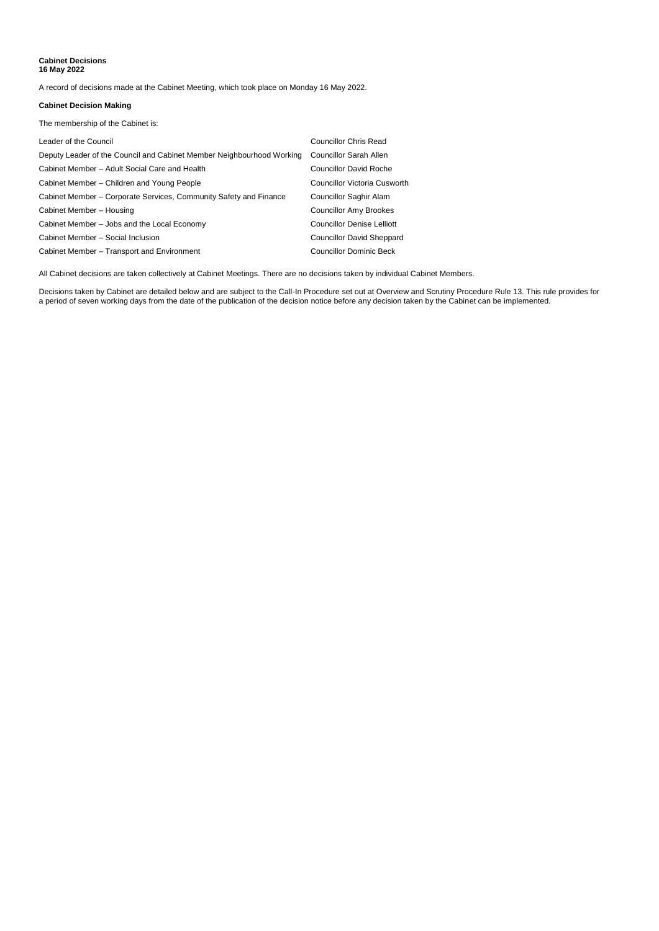## **Cabinet Decisions 16 May 2022**

A record of decisions made at the Cabinet Meeting, which took place on Monday 16 May 2022.

## **Cabinet Decision Making**

The membership of the Cabinet is:

| Leader of the Council                                                 | <b>Councillor Chris Read</b>      |
|-----------------------------------------------------------------------|-----------------------------------|
| Deputy Leader of the Council and Cabinet Member Neighbourhood Working | Councillor Sarah Allen            |
| Cabinet Member - Adult Social Care and Health                         | <b>Councillor David Roche</b>     |
| Cabinet Member – Children and Young People                            | Councillor Victoria Cusworth      |
| Cabinet Member - Corporate Services, Community Safety and Finance     | <b>Councillor Saghir Alam</b>     |
| Cabinet Member - Housing                                              | <b>Councillor Amy Brookes</b>     |
| Cabinet Member – Jobs and the Local Economy                           | <b>Councillor Denise Lelliott</b> |
| Cabinet Member - Social Inclusion                                     | <b>Councillor David Sheppard</b>  |
| Cabinet Member - Transport and Environment                            | <b>Councillor Dominic Beck</b>    |

All Cabinet decisions are taken collectively at Cabinet Meetings. There are no decisions taken by individual Cabinet Members.

Decisions taken by Cabinet are detailed below and are subject to the Call-In Procedure set out at Overview and Scrutiny Procedure Rule 13. This rule provides for a period of seven working days from the date of the publication of the decision notice before any decision taken by the Cabinet can be implemented.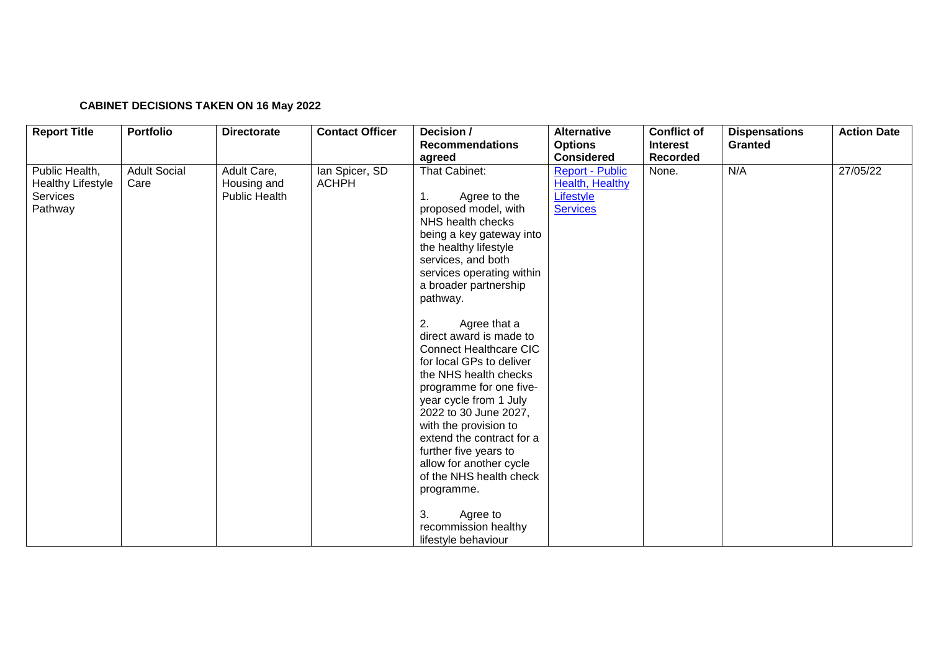## **CABINET DECISIONS TAKEN ON 16 May 2022**

| <b>Report Title</b>                                               | <b>Portfolio</b>            | <b>Directorate</b>                          | <b>Contact Officer</b>         | Decision /<br><b>Recommendations</b><br>agreed                                                                                                                                                                                                                                                                                                                                                                                                                                                                                                                                                                                                                         | <b>Alternative</b><br><b>Options</b><br><b>Considered</b>                 | <b>Conflict of</b><br><b>Interest</b><br><b>Recorded</b> | <b>Dispensations</b><br><b>Granted</b> | <b>Action Date</b> |
|-------------------------------------------------------------------|-----------------------------|---------------------------------------------|--------------------------------|------------------------------------------------------------------------------------------------------------------------------------------------------------------------------------------------------------------------------------------------------------------------------------------------------------------------------------------------------------------------------------------------------------------------------------------------------------------------------------------------------------------------------------------------------------------------------------------------------------------------------------------------------------------------|---------------------------------------------------------------------------|----------------------------------------------------------|----------------------------------------|--------------------|
| Public Health,<br><b>Healthy Lifestyle</b><br>Services<br>Pathway | <b>Adult Social</b><br>Care | Adult Care,<br>Housing and<br>Public Health | Ian Spicer, SD<br><b>ACHPH</b> | That Cabinet:<br>Agree to the<br>1.<br>proposed model, with<br>NHS health checks<br>being a key gateway into<br>the healthy lifestyle<br>services, and both<br>services operating within<br>a broader partnership<br>pathway.<br>2.<br>Agree that a<br>direct award is made to<br><b>Connect Healthcare CIC</b><br>for local GPs to deliver<br>the NHS health checks<br>programme for one five-<br>year cycle from 1 July<br>2022 to 30 June 2027,<br>with the provision to<br>extend the contract for a<br>further five years to<br>allow for another cycle<br>of the NHS health check<br>programme.<br>3.<br>Agree to<br>recommission healthy<br>lifestyle behaviour | <b>Report - Public</b><br>Health, Healthy<br>Lifestyle<br><b>Services</b> | None.                                                    | N/A                                    | 27/05/22           |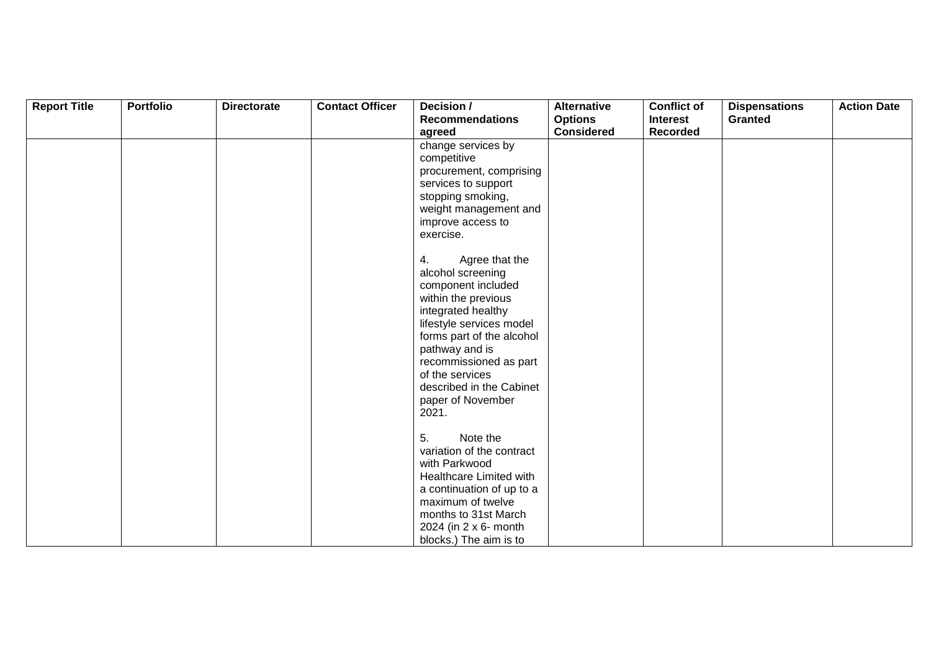| <b>Report Title</b> | <b>Portfolio</b> | <b>Directorate</b> | <b>Contact Officer</b> | Decision /                                | <b>Alternative</b> | <b>Conflict of</b> | <b>Dispensations</b> | <b>Action Date</b> |
|---------------------|------------------|--------------------|------------------------|-------------------------------------------|--------------------|--------------------|----------------------|--------------------|
|                     |                  |                    |                        | <b>Recommendations</b>                    | <b>Options</b>     | <b>Interest</b>    | <b>Granted</b>       |                    |
|                     |                  |                    |                        | agreed                                    | <b>Considered</b>  | <b>Recorded</b>    |                      |                    |
|                     |                  |                    |                        | change services by                        |                    |                    |                      |                    |
|                     |                  |                    |                        | competitive                               |                    |                    |                      |                    |
|                     |                  |                    |                        | procurement, comprising                   |                    |                    |                      |                    |
|                     |                  |                    |                        | services to support                       |                    |                    |                      |                    |
|                     |                  |                    |                        | stopping smoking,                         |                    |                    |                      |                    |
|                     |                  |                    |                        | weight management and                     |                    |                    |                      |                    |
|                     |                  |                    |                        | improve access to                         |                    |                    |                      |                    |
|                     |                  |                    |                        | exercise.                                 |                    |                    |                      |                    |
|                     |                  |                    |                        |                                           |                    |                    |                      |                    |
|                     |                  |                    |                        | 4.<br>Agree that the                      |                    |                    |                      |                    |
|                     |                  |                    |                        | alcohol screening                         |                    |                    |                      |                    |
|                     |                  |                    |                        | component included<br>within the previous |                    |                    |                      |                    |
|                     |                  |                    |                        | integrated healthy                        |                    |                    |                      |                    |
|                     |                  |                    |                        | lifestyle services model                  |                    |                    |                      |                    |
|                     |                  |                    |                        | forms part of the alcohol                 |                    |                    |                      |                    |
|                     |                  |                    |                        | pathway and is                            |                    |                    |                      |                    |
|                     |                  |                    |                        | recommissioned as part                    |                    |                    |                      |                    |
|                     |                  |                    |                        | of the services                           |                    |                    |                      |                    |
|                     |                  |                    |                        | described in the Cabinet                  |                    |                    |                      |                    |
|                     |                  |                    |                        | paper of November                         |                    |                    |                      |                    |
|                     |                  |                    |                        | 2021.                                     |                    |                    |                      |                    |
|                     |                  |                    |                        |                                           |                    |                    |                      |                    |
|                     |                  |                    |                        | 5.<br>Note the                            |                    |                    |                      |                    |
|                     |                  |                    |                        | variation of the contract                 |                    |                    |                      |                    |
|                     |                  |                    |                        | with Parkwood                             |                    |                    |                      |                    |
|                     |                  |                    |                        | Healthcare Limited with                   |                    |                    |                      |                    |
|                     |                  |                    |                        | a continuation of up to a                 |                    |                    |                      |                    |
|                     |                  |                    |                        | maximum of twelve                         |                    |                    |                      |                    |
|                     |                  |                    |                        | months to 31st March                      |                    |                    |                      |                    |
|                     |                  |                    |                        | 2024 (in 2 x 6- month                     |                    |                    |                      |                    |
|                     |                  |                    |                        | blocks.) The aim is to                    |                    |                    |                      |                    |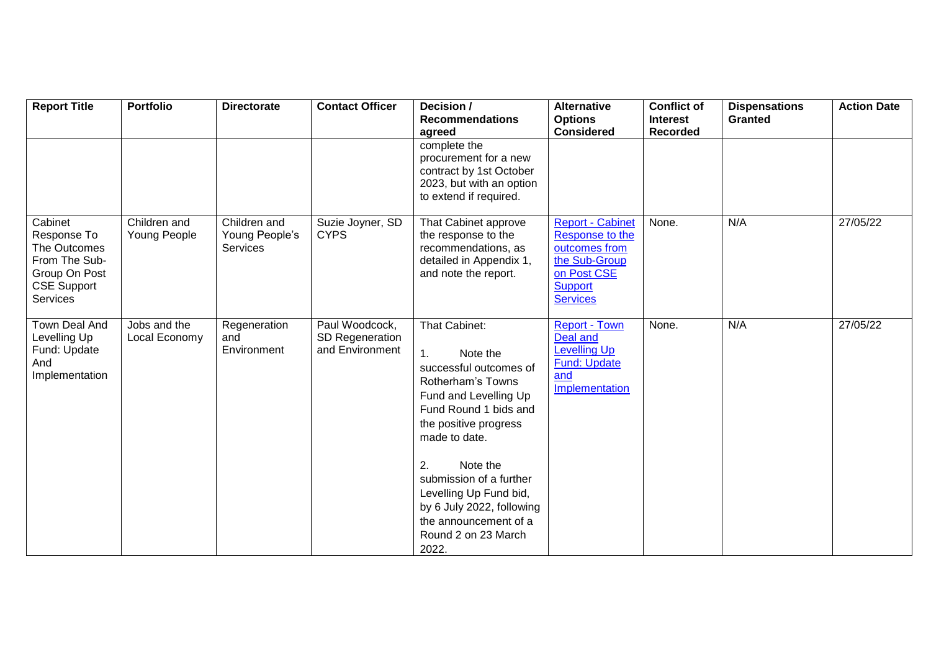| <b>Report Title</b>                                                                                        | <b>Portfolio</b>              | <b>Directorate</b>                                | <b>Contact Officer</b>                               | Decision /<br><b>Recommendations</b>                                                                                                                                                                                                                                                                                                                | <b>Alternative</b><br><b>Options</b>                                                                                             | <b>Conflict of</b><br><b>Interest</b> | <b>Dispensations</b><br><b>Granted</b> | <b>Action Date</b> |
|------------------------------------------------------------------------------------------------------------|-------------------------------|---------------------------------------------------|------------------------------------------------------|-----------------------------------------------------------------------------------------------------------------------------------------------------------------------------------------------------------------------------------------------------------------------------------------------------------------------------------------------------|----------------------------------------------------------------------------------------------------------------------------------|---------------------------------------|----------------------------------------|--------------------|
|                                                                                                            |                               |                                                   |                                                      | agreed<br>complete the<br>procurement for a new<br>contract by 1st October<br>2023, but with an option<br>to extend if required.                                                                                                                                                                                                                    | <b>Considered</b>                                                                                                                | Recorded                              |                                        |                    |
| Cabinet<br>Response To<br>The Outcomes<br>From The Sub-<br>Group On Post<br><b>CSE Support</b><br>Services | Children and<br>Young People  | Children and<br>Young People's<br><b>Services</b> | Suzie Joyner, SD<br><b>CYPS</b>                      | That Cabinet approve<br>the response to the<br>recommendations, as<br>detailed in Appendix 1,<br>and note the report.                                                                                                                                                                                                                               | <b>Report - Cabinet</b><br>Response to the<br>outcomes from<br>the Sub-Group<br>on Post CSE<br><b>Support</b><br><b>Services</b> | None.                                 | N/A                                    | 27/05/22           |
| Town Deal And<br>Levelling Up<br>Fund: Update<br>And<br>Implementation                                     | Jobs and the<br>Local Economy | Regeneration<br>and<br>Environment                | Paul Woodcock,<br>SD Regeneration<br>and Environment | That Cabinet:<br>$\mathbf{1}$ .<br>Note the<br>successful outcomes of<br>Rotherham's Towns<br>Fund and Levelling Up<br>Fund Round 1 bids and<br>the positive progress<br>made to date.<br>2.<br>Note the<br>submission of a further<br>Levelling Up Fund bid,<br>by 6 July 2022, following<br>the announcement of a<br>Round 2 on 23 March<br>2022. | <b>Report - Town</b><br>Deal and<br>Levelling Up<br><b>Fund: Update</b><br>and<br>Implementation                                 | None.                                 | N/A                                    | 27/05/22           |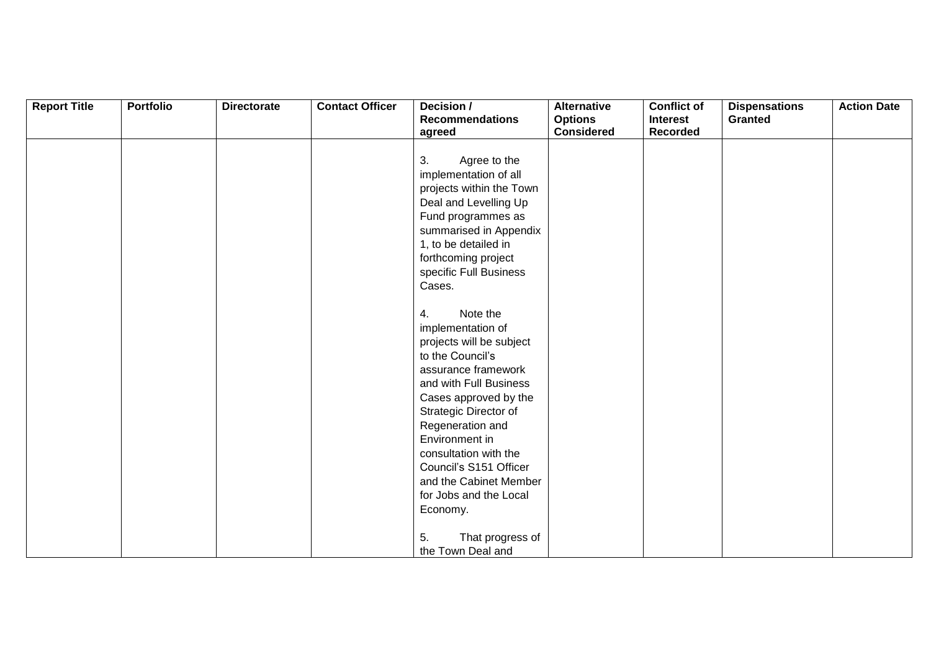| <b>Report Title</b> | Portfolio | <b>Directorate</b> | <b>Contact Officer</b> | Decision /               | <b>Alternative</b> | <b>Conflict of</b> | <b>Dispensations</b> | <b>Action Date</b> |
|---------------------|-----------|--------------------|------------------------|--------------------------|--------------------|--------------------|----------------------|--------------------|
|                     |           |                    |                        | <b>Recommendations</b>   | <b>Options</b>     | <b>Interest</b>    | Granted              |                    |
|                     |           |                    |                        | agreed                   | <b>Considered</b>  | <b>Recorded</b>    |                      |                    |
|                     |           |                    |                        |                          |                    |                    |                      |                    |
|                     |           |                    |                        | Agree to the<br>3.       |                    |                    |                      |                    |
|                     |           |                    |                        | implementation of all    |                    |                    |                      |                    |
|                     |           |                    |                        | projects within the Town |                    |                    |                      |                    |
|                     |           |                    |                        | Deal and Levelling Up    |                    |                    |                      |                    |
|                     |           |                    |                        | Fund programmes as       |                    |                    |                      |                    |
|                     |           |                    |                        | summarised in Appendix   |                    |                    |                      |                    |
|                     |           |                    |                        | 1, to be detailed in     |                    |                    |                      |                    |
|                     |           |                    |                        | forthcoming project      |                    |                    |                      |                    |
|                     |           |                    |                        | specific Full Business   |                    |                    |                      |                    |
|                     |           |                    |                        | Cases.                   |                    |                    |                      |                    |
|                     |           |                    |                        |                          |                    |                    |                      |                    |
|                     |           |                    |                        | 4.<br>Note the           |                    |                    |                      |                    |
|                     |           |                    |                        | implementation of        |                    |                    |                      |                    |
|                     |           |                    |                        | projects will be subject |                    |                    |                      |                    |
|                     |           |                    |                        | to the Council's         |                    |                    |                      |                    |
|                     |           |                    |                        | assurance framework      |                    |                    |                      |                    |
|                     |           |                    |                        | and with Full Business   |                    |                    |                      |                    |
|                     |           |                    |                        | Cases approved by the    |                    |                    |                      |                    |
|                     |           |                    |                        | Strategic Director of    |                    |                    |                      |                    |
|                     |           |                    |                        | Regeneration and         |                    |                    |                      |                    |
|                     |           |                    |                        | Environment in           |                    |                    |                      |                    |
|                     |           |                    |                        | consultation with the    |                    |                    |                      |                    |
|                     |           |                    |                        | Council's S151 Officer   |                    |                    |                      |                    |
|                     |           |                    |                        | and the Cabinet Member   |                    |                    |                      |                    |
|                     |           |                    |                        | for Jobs and the Local   |                    |                    |                      |                    |
|                     |           |                    |                        | Economy.                 |                    |                    |                      |                    |
|                     |           |                    |                        |                          |                    |                    |                      |                    |
|                     |           |                    |                        | 5.<br>That progress of   |                    |                    |                      |                    |
|                     |           |                    |                        | the Town Deal and        |                    |                    |                      |                    |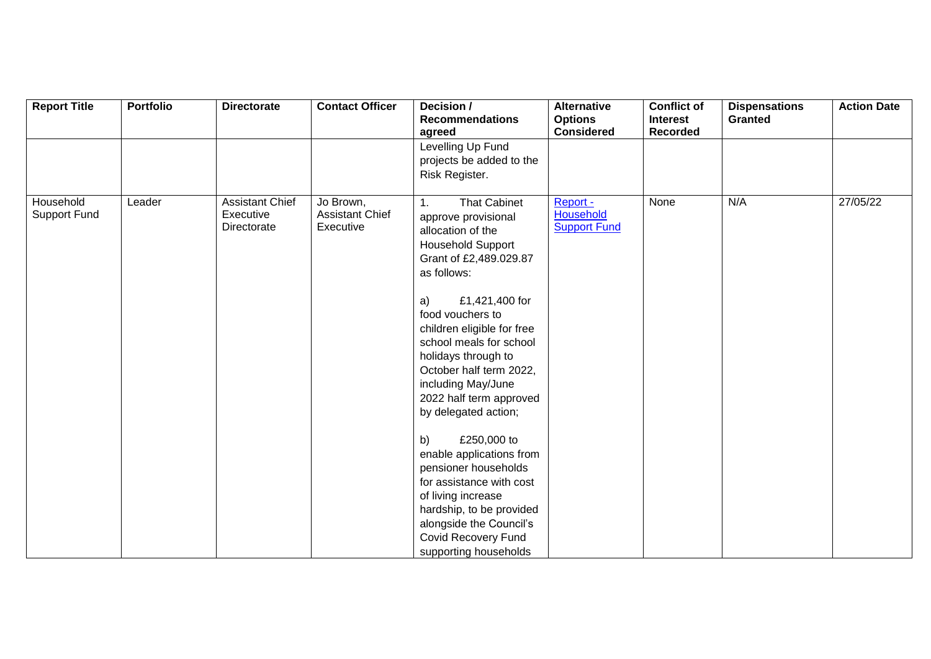| <b>Report Title</b>       | <b>Portfolio</b> | <b>Directorate</b>                                 | <b>Contact Officer</b>                           | Decision /<br><b>Recommendations</b><br>agreed                                                                                                                                                                                                                                                                                                                                                                                                                                                                                                                                                               | <b>Alternative</b><br><b>Options</b><br><b>Considered</b> | <b>Conflict of</b><br><b>Interest</b><br><b>Recorded</b> | <b>Dispensations</b><br><b>Granted</b> | <b>Action Date</b> |
|---------------------------|------------------|----------------------------------------------------|--------------------------------------------------|--------------------------------------------------------------------------------------------------------------------------------------------------------------------------------------------------------------------------------------------------------------------------------------------------------------------------------------------------------------------------------------------------------------------------------------------------------------------------------------------------------------------------------------------------------------------------------------------------------------|-----------------------------------------------------------|----------------------------------------------------------|----------------------------------------|--------------------|
|                           |                  |                                                    |                                                  | Levelling Up Fund<br>projects be added to the<br>Risk Register.                                                                                                                                                                                                                                                                                                                                                                                                                                                                                                                                              |                                                           |                                                          |                                        |                    |
| Household<br>Support Fund | Leader           | <b>Assistant Chief</b><br>Executive<br>Directorate | Jo Brown,<br><b>Assistant Chief</b><br>Executive | <b>That Cabinet</b><br>1.<br>approve provisional<br>allocation of the<br><b>Household Support</b><br>Grant of £2,489.029.87<br>as follows:<br>£1,421,400 for<br>a)<br>food vouchers to<br>children eligible for free<br>school meals for school<br>holidays through to<br>October half term 2022,<br>including May/June<br>2022 half term approved<br>by delegated action;<br>£250,000 to<br>b)<br>enable applications from<br>pensioner households<br>for assistance with cost<br>of living increase<br>hardship, to be provided<br>alongside the Council's<br>Covid Recovery Fund<br>supporting households | Report -<br>Household<br><b>Support Fund</b>              | None                                                     | N/A                                    | 27/05/22           |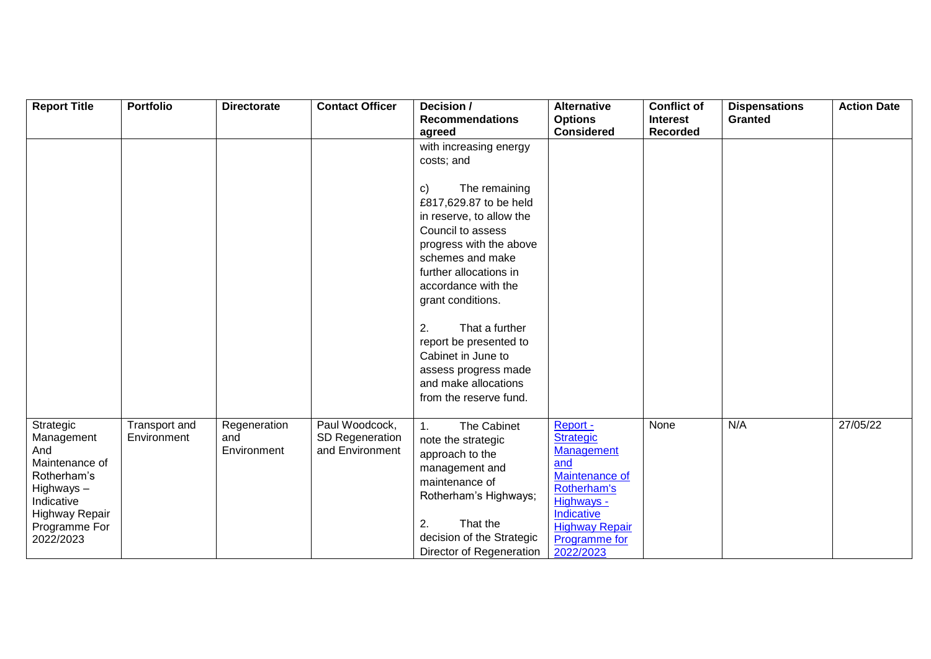| <b>Report Title</b>        | <b>Portfolio</b> | <b>Directorate</b> | <b>Contact Officer</b> | Decision /<br><b>Recommendations</b> | <b>Alternative</b><br><b>Options</b>   | <b>Conflict of</b><br><b>Interest</b> | <b>Dispensations</b><br><b>Granted</b> | <b>Action Date</b> |
|----------------------------|------------------|--------------------|------------------------|--------------------------------------|----------------------------------------|---------------------------------------|----------------------------------------|--------------------|
|                            |                  |                    |                        | agreed                               | <b>Considered</b>                      | Recorded                              |                                        |                    |
|                            |                  |                    |                        | with increasing energy               |                                        |                                       |                                        |                    |
|                            |                  |                    |                        | costs; and                           |                                        |                                       |                                        |                    |
|                            |                  |                    |                        |                                      |                                        |                                       |                                        |                    |
|                            |                  |                    |                        | The remaining<br>C)                  |                                        |                                       |                                        |                    |
|                            |                  |                    |                        | £817,629.87 to be held               |                                        |                                       |                                        |                    |
|                            |                  |                    |                        | in reserve, to allow the             |                                        |                                       |                                        |                    |
|                            |                  |                    |                        | Council to assess                    |                                        |                                       |                                        |                    |
|                            |                  |                    |                        | progress with the above              |                                        |                                       |                                        |                    |
|                            |                  |                    |                        | schemes and make                     |                                        |                                       |                                        |                    |
|                            |                  |                    |                        | further allocations in               |                                        |                                       |                                        |                    |
|                            |                  |                    |                        | accordance with the                  |                                        |                                       |                                        |                    |
|                            |                  |                    |                        | grant conditions.                    |                                        |                                       |                                        |                    |
|                            |                  |                    |                        |                                      |                                        |                                       |                                        |                    |
|                            |                  |                    |                        | 2.<br>That a further                 |                                        |                                       |                                        |                    |
|                            |                  |                    |                        | report be presented to               |                                        |                                       |                                        |                    |
|                            |                  |                    |                        | Cabinet in June to                   |                                        |                                       |                                        |                    |
|                            |                  |                    |                        | assess progress made                 |                                        |                                       |                                        |                    |
|                            |                  |                    |                        | and make allocations                 |                                        |                                       |                                        |                    |
|                            |                  |                    |                        | from the reserve fund.               |                                        |                                       |                                        |                    |
| Strategic                  | Transport and    | Regeneration       | Paul Woodcock,         | The Cabinet<br>1.                    | Report -                               | None                                  | N/A                                    | 27/05/22           |
| Management                 | Environment      | and                | SD Regeneration        | note the strategic                   | <b>Strategic</b>                       |                                       |                                        |                    |
| And                        |                  | Environment        | and Environment        | approach to the                      | <b>Management</b>                      |                                       |                                        |                    |
| Maintenance of             |                  |                    |                        | management and                       | and                                    |                                       |                                        |                    |
| Rotherham's                |                  |                    |                        | maintenance of                       | Maintenance of                         |                                       |                                        |                    |
| Highways-                  |                  |                    |                        | Rotherham's Highways;                | Rotherham's                            |                                       |                                        |                    |
| Indicative                 |                  |                    |                        |                                      | Highways -                             |                                       |                                        |                    |
| Highway Repair             |                  |                    |                        | 2.<br>That the                       | Indicative                             |                                       |                                        |                    |
| Programme For<br>2022/2023 |                  |                    |                        | decision of the Strategic            | <b>Highway Repair</b><br>Programme for |                                       |                                        |                    |
|                            |                  |                    |                        | Director of Regeneration             | 2022/2023                              |                                       |                                        |                    |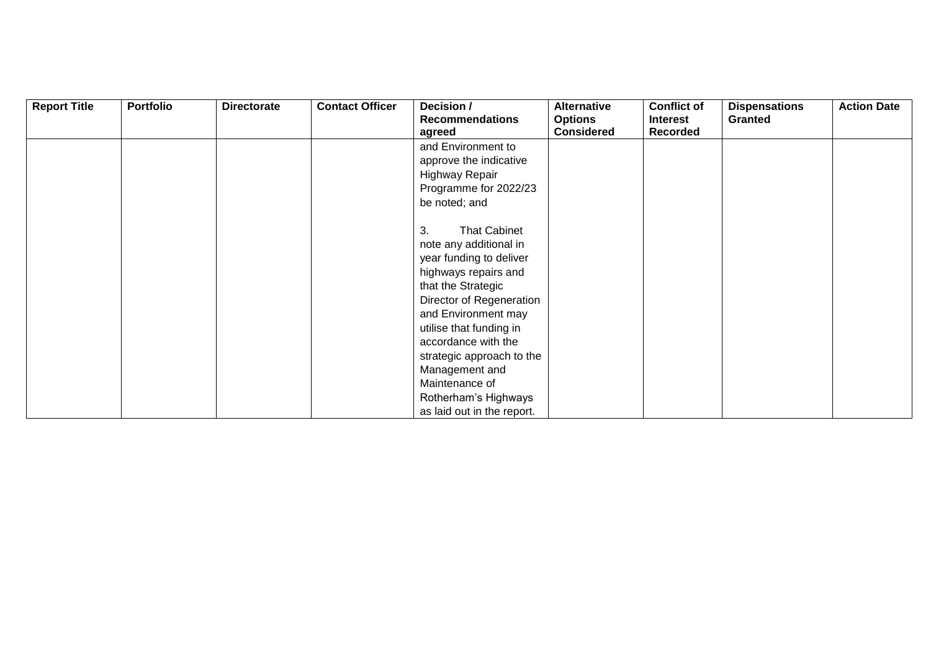| <b>Report Title</b> | Portfolio | <b>Directorate</b> | <b>Contact Officer</b> | Decision /<br><b>Recommendations</b><br>agreed | <b>Alternative</b><br><b>Options</b><br><b>Considered</b> | <b>Conflict of</b><br><b>Interest</b><br><b>Recorded</b> | <b>Dispensations</b><br><b>Granted</b> | <b>Action Date</b> |
|---------------------|-----------|--------------------|------------------------|------------------------------------------------|-----------------------------------------------------------|----------------------------------------------------------|----------------------------------------|--------------------|
|                     |           |                    |                        | and Environment to                             |                                                           |                                                          |                                        |                    |
|                     |           |                    |                        | approve the indicative                         |                                                           |                                                          |                                        |                    |
|                     |           |                    |                        | Highway Repair                                 |                                                           |                                                          |                                        |                    |
|                     |           |                    |                        | Programme for 2022/23                          |                                                           |                                                          |                                        |                    |
|                     |           |                    |                        | be noted; and                                  |                                                           |                                                          |                                        |                    |
|                     |           |                    |                        | <b>That Cabinet</b><br>3.                      |                                                           |                                                          |                                        |                    |
|                     |           |                    |                        | note any additional in                         |                                                           |                                                          |                                        |                    |
|                     |           |                    |                        | year funding to deliver                        |                                                           |                                                          |                                        |                    |
|                     |           |                    |                        | highways repairs and                           |                                                           |                                                          |                                        |                    |
|                     |           |                    |                        | that the Strategic                             |                                                           |                                                          |                                        |                    |
|                     |           |                    |                        | Director of Regeneration                       |                                                           |                                                          |                                        |                    |
|                     |           |                    |                        | and Environment may                            |                                                           |                                                          |                                        |                    |
|                     |           |                    |                        | utilise that funding in                        |                                                           |                                                          |                                        |                    |
|                     |           |                    |                        | accordance with the                            |                                                           |                                                          |                                        |                    |
|                     |           |                    |                        | strategic approach to the                      |                                                           |                                                          |                                        |                    |
|                     |           |                    |                        | Management and                                 |                                                           |                                                          |                                        |                    |
|                     |           |                    |                        | Maintenance of                                 |                                                           |                                                          |                                        |                    |
|                     |           |                    |                        | Rotherham's Highways                           |                                                           |                                                          |                                        |                    |
|                     |           |                    |                        | as laid out in the report.                     |                                                           |                                                          |                                        |                    |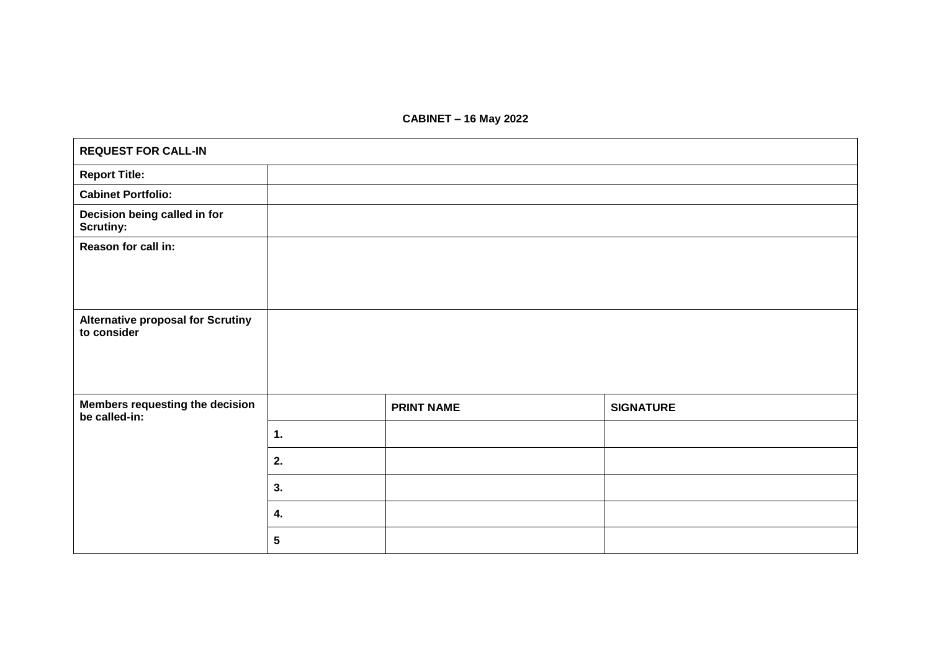**CABINET – 16 May 2022**

| <b>REQUEST FOR CALL-IN</b>                              |                 |                   |                  |
|---------------------------------------------------------|-----------------|-------------------|------------------|
| <b>Report Title:</b>                                    |                 |                   |                  |
| <b>Cabinet Portfolio:</b>                               |                 |                   |                  |
| Decision being called in for<br><b>Scrutiny:</b>        |                 |                   |                  |
| Reason for call in:                                     |                 |                   |                  |
| <b>Alternative proposal for Scrutiny</b><br>to consider |                 |                   |                  |
| Members requesting the decision<br>be called-in:        |                 | <b>PRINT NAME</b> | <b>SIGNATURE</b> |
|                                                         | 1.              |                   |                  |
|                                                         | 2.              |                   |                  |
|                                                         | 3.              |                   |                  |
|                                                         | 4.              |                   |                  |
|                                                         | $5\phantom{.0}$ |                   |                  |